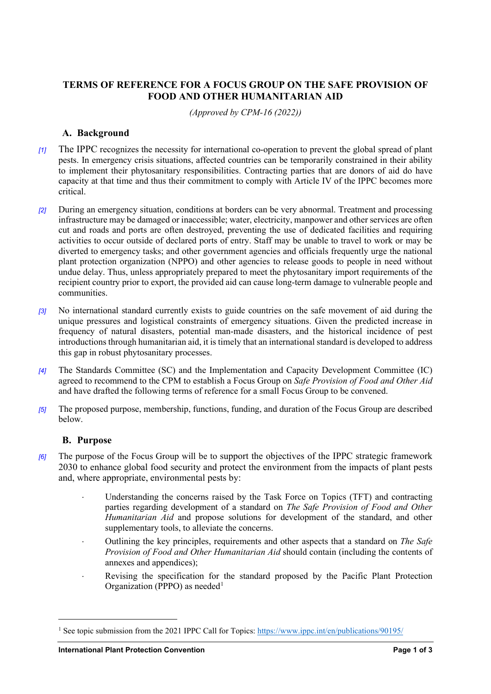## **TERMS OF REFERENCE FOR A FOCUS GROUP ON THE SAFE PROVISION OF FOOD AND OTHER HUMANITARIAN AID**

*(Approved by CPM-16 (2022))*

### **A. Background**

- *[1]* The IPPC recognizes the necessity for international co-operation to prevent the global spread of plant pests. In emergency crisis situations, affected countries can be temporarily constrained in their ability to implement their phytosanitary responsibilities. Contracting parties that are donors of aid do have capacity at that time and thus their commitment to comply with Article IV of the IPPC becomes more critical.
- *[2]* During an emergency situation, conditions at borders can be very abnormal. Treatment and processing infrastructure may be damaged or inaccessible; water, electricity, manpower and other services are often cut and roads and ports are often destroyed, preventing the use of dedicated facilities and requiring activities to occur outside of declared ports of entry. Staff may be unable to travel to work or may be diverted to emergency tasks; and other government agencies and officials frequently urge the national plant protection organization (NPPO) and other agencies to release goods to people in need without undue delay. Thus, unless appropriately prepared to meet the phytosanitary import requirements of the recipient country prior to export, the provided aid can cause long-term damage to vulnerable people and communities.
- *[3]* No international standard currently exists to guide countries on the safe movement of aid during the unique pressures and logistical constraints of emergency situations. Given the predicted increase in frequency of natural disasters, potential man-made disasters, and the historical incidence of pest introductions through humanitarian aid, it is timely that an international standard is developed to address this gap in robust phytosanitary processes.
- *[4]* The Standards Committee (SC) and the Implementation and Capacity Development Committee (IC) agreed to recommend to the CPM to establish a Focus Group on *Safe Provision of Food and Other Aid* and have drafted the following terms of reference for a small Focus Group to be convened.
- *[5]* The proposed purpose, membership, functions, funding, and duration of the Focus Group are described below.

#### **B. Purpose**

- *[6]* The purpose of the Focus Group will be to support the objectives of the IPPC strategic framework 2030 to enhance global food security and protect the environment from the impacts of plant pests and, where appropriate, environmental pests by:
	- Understanding the concerns raised by the Task Force on Topics (TFT) and contracting parties regarding development of a standard on *The Safe Provision of Food and Other Humanitarian Aid* and propose solutions for development of the standard, and other supplementary tools, to alleviate the concerns.
	- Outlining the key principles, requirements and other aspects that a standard on *The Safe Provision of Food and Other Humanitarian Aid* should contain (including the contents of annexes and appendices);
	- ⋅ Revising the specification for the standard proposed by the Pacific Plant Protection Organization (PPPO) as needed<sup>[1](#page-0-0)</sup>

<span id="page-0-0"></span><sup>1</sup> See topic submission from the 2021 IPPC Call for Topics:<https://www.ippc.int/en/publications/90195/>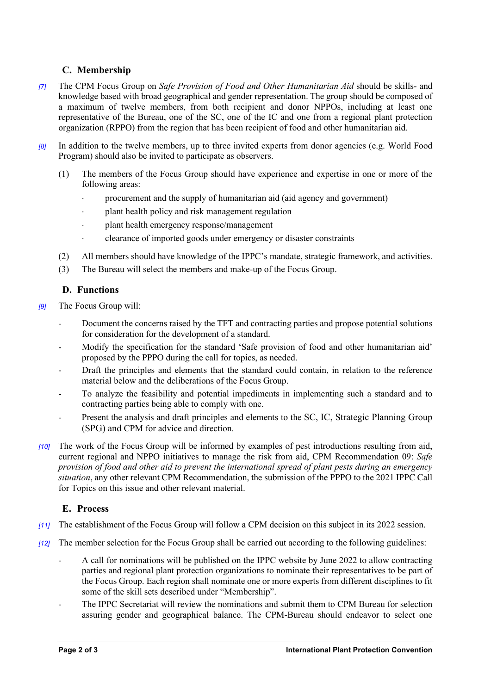# **C. Membership**

- *[7]* The CPM Focus Group on *Safe Provision of Food and Other Humanitarian Aid* should be skills- and knowledge based with broad geographical and gender representation. The group should be composed of a maximum of twelve members, from both recipient and donor NPPOs, including at least one representative of the Bureau, one of the SC, one of the IC and one from a regional plant protection organization (RPPO) from the region that has been recipient of food and other humanitarian aid.
- *[8]* In addition to the twelve members, up to three invited experts from donor agencies (e.g. World Food Program) should also be invited to participate as observers.
	- (1) The members of the Focus Group should have experience and expertise in one or more of the following areas:
		- procurement and the supply of humanitarian aid (aid agency and government)
		- plant health policy and risk management regulation
		- plant health emergency response/management
		- clearance of imported goods under emergency or disaster constraints
	- (2) All members should have knowledge of the IPPC's mandate, strategic framework, and activities.
	- (3) The Bureau will select the members and make-up of the Focus Group.

## **D. Functions**

- *[9]* The Focus Group will:
	- Document the concerns raised by the TFT and contracting parties and propose potential solutions for consideration for the development of a standard.
	- Modify the specification for the standard 'Safe provision of food and other humanitarian aid' proposed by the PPPO during the call for topics, as needed.
	- Draft the principles and elements that the standard could contain, in relation to the reference material below and the deliberations of the Focus Group.
	- To analyze the feasibility and potential impediments in implementing such a standard and to contracting parties being able to comply with one.
	- Present the analysis and draft principles and elements to the SC, IC, Strategic Planning Group (SPG) and CPM for advice and direction.
- *[10]* The work of the Focus Group will be informed by examples of pest introductions resulting from aid, current regional and NPPO initiatives to manage the risk from aid, CPM Recommendation 09: *Safe provision of food and other aid to prevent the international spread of plant pests during an emergency situation*, any other relevant CPM Recommendation, the submission of the PPPO to the 2021 IPPC Call for Topics on this issue and other relevant material.

## **E. Process**

- *[11]* The establishment of the Focus Group will follow a CPM decision on this subject in its 2022 session.
- *[12]* The member selection for the Focus Group shall be carried out according to the following guidelines:
	- A call for nominations will be published on the IPPC website by June 2022 to allow contracting parties and regional plant protection organizations to nominate their representatives to be part of the Focus Group. Each region shall nominate one or more experts from different disciplines to fit some of the skill sets described under "Membership".
	- The IPPC Secretariat will review the nominations and submit them to CPM Bureau for selection assuring gender and geographical balance. The CPM-Bureau should endeavor to select one